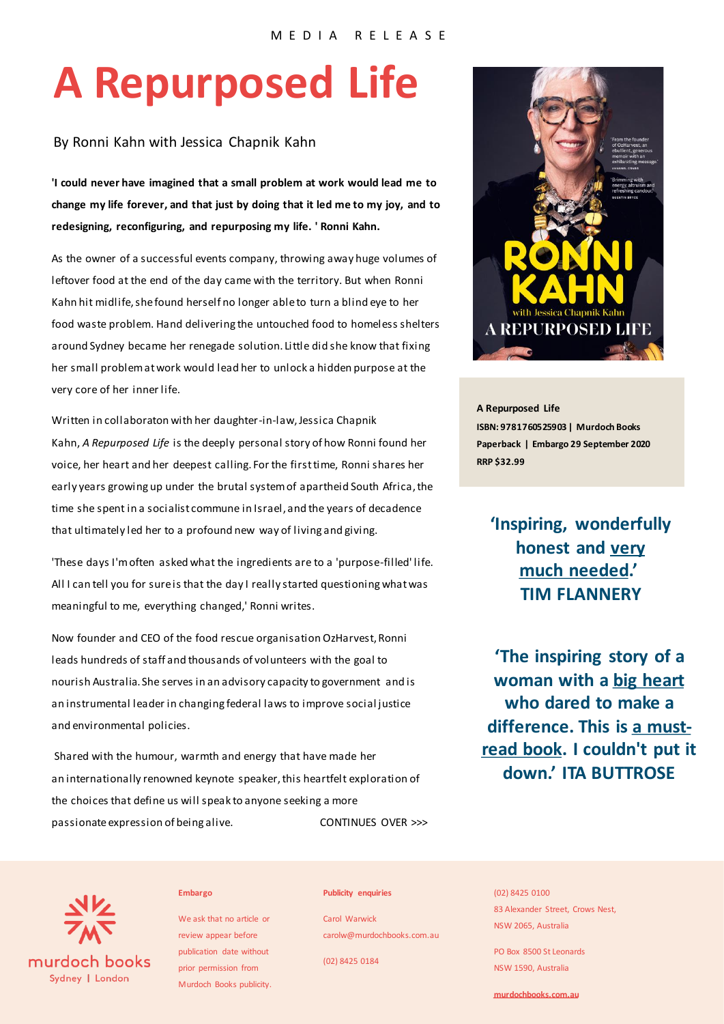# **A Repurposed Life**

## By Ronni Kahn with Jessica Chapnik Kahn

**'I could never have imagined that a small problem at work would lead me to change my life forever, and that just by doing that it led me to my joy, and to redesigning, reconfiguring, and repurposing my life. ' Ronni Kahn.**

As the owner of a successful events company, throwing away huge volumes of leftover food at the end of the day came with the territory. But when Ronni Kahn hit midlife, she found herself no longer able to turn a blind eye to her food waste problem. Hand delivering the untouched food to homeless shelters around Sydney became her renegade solution. Little did she know that fixing her small problem at work would lead her to unlock a hidden purpose at the very core of her inner life.

Written in collaboraton with her daughter-in-law, Jessica Chapnik Kahn, *A Repurposed Life* is the deeply personal story of how Ronni found her voice, her heart and her deepest calling. For the first time, Ronni shares her early years growing up under the brutal system of apartheid South Africa, the time she spent in a socialist commune in Israel, and the years of decadence that ultimately led her to a profound new way of living and giving.

'These days I'moften asked what the ingredients are to a 'purpose-filled' life. All I can tell you for sure is that the day I really started questioning what was meaningful to me, everything changed,' Ronni writes.

Now founder and CEO of the food rescue organisation OzHarvest, Ronni leads hundreds of staff and thousands of volunteers with the goal to nourish Australia. She serves in an advisory capacity to government and is an instrumental leader in changing federal laws to improve social justice and environmental policies.

Shared with the humour, warmth and energy that have made her an internationally renowned keynote speaker, this heartfelt exploration of the choices that define us will speak to anyone seeking a more passionate expression of being alive. CONTINUES OVER >>>



**A Repurposed Life ISBN: 9781760525903 | Murdoch Books Paperback | Embargo 29 September 2020 RRP \$32.99**

**'Inspiring, wonderfully honest and very much needed.' TIM FLANNERY**

**'The inspiring story of a woman with a big heart who dared to make a difference. This is a mustread book. I couldn't put it down.' ITA BUTTROSE**



### **Embargo**

We ask that no article or review appear before publication date without prior permission from Murdoch Books publicity.

#### **Publicity enquiries**

Carol Warwick carolw@murdochbooks.com.au

(02) 8425 0184

#### (02) 8425 0100

83 Alexander Street, Crows Nest, NSW 2065, Australia

PO Box 8500 St Leonards NSW 1590, Australia

**murdochbooks.com.au**